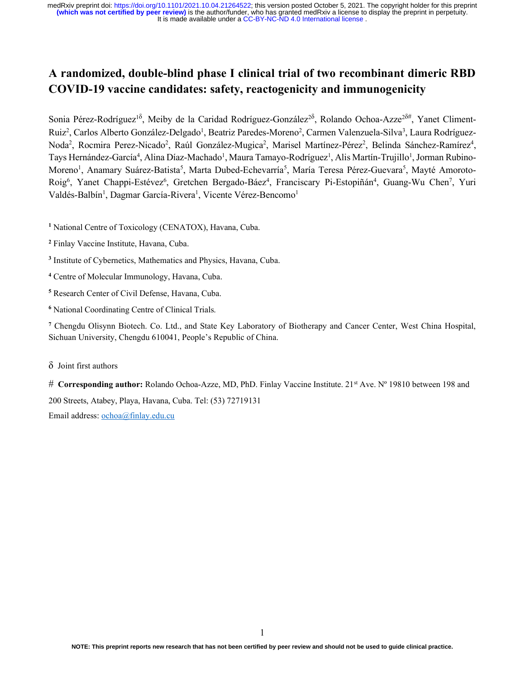# A randomized, double-blind phase I clinical trial of two recombinant dimeric RBD COVID-19 vaccine candidates: safety, reactogenicity and immunogenicity

Sonia Pérez-Rodríguez<sup>18</sup>, Meiby de la Caridad Rodríguez-González<sup>28</sup>, Rolando Ochoa-Azze<sup>28#</sup>, Yanet Climent-Ruiz<sup>2</sup>, Carlos Alberto González-Delgado<sup>1</sup>, Beatriz Paredes-Moreno<sup>2</sup>, Carmen Valenzuela-Silva<sup>3</sup>, Laura Rodríguez-Noda<sup>2</sup>, Rocmira Perez-Nicado<sup>2</sup>, Raúl González-Mugica<sup>2</sup>, Marisel Martínez-Pérez<sup>2</sup>, Belinda Sánchez-Ramírez<sup>4</sup>, Tays Hernández-García<sup>4</sup>, Alina Díaz-Machado<sup>1</sup>, Maura Tamayo-Rodríguez<sup>1</sup>, Alis Martín-Trujillo<sup>1</sup>, Jorman Rubino-Moreno<sup>1</sup>, Anamary Suárez-Batista<sup>5</sup>, Marta Dubed-Echevarría<sup>5</sup>, María Teresa Pérez-Guevara<sup>5</sup>, Mayté Amoroto-Roig<sup>6</sup>, Yanet Chappi-Estévez<sup>6</sup>, Gretchen Bergado-Báez<sup>4</sup>, Franciscary Pi-Estopiñán<sup>4</sup>, Guang-Wu Chen<sup>7</sup>, Yuri Valdés-Balbín<sup>1</sup>, Dagmar García-Rivera<sup>1</sup>, Vicente Vérez-Bencomo<sup>1</sup>

<sup>1</sup> National Centre of Toxicology (CENATOX), Havana, Cuba.

- 2 Finlay Vaccine Institute, Havana, Cuba.
- <sup>3</sup> Institute of Cybernetics, Mathematics and Physics, Havana, Cuba.
- 4 Centre of Molecular Immunology, Havana, Cuba.
- 5 Research Center of Civil Defense, Havana, Cuba.
- 6 National Coordinating Centre of Clinical Trials.

<sup>7</sup> Chengdu Olisynn Biotech. Co. Ltd., and State Key Laboratory of Biotherapy and Cancer Center, West China Hospital, Sichuan University, Chengdu 610041, People's Republic of China.

#### δ Joint first authors

# Corresponding author: Rolando Ochoa-Azze, MD, PhD. Finlay Vaccine Institute. 21st Ave. Nº 19810 between 198 and 200 Streets, Atabey, Playa, Havana, Cuba. Tel: (53) 72719131

Email address: ochoa@finlay.edu.cu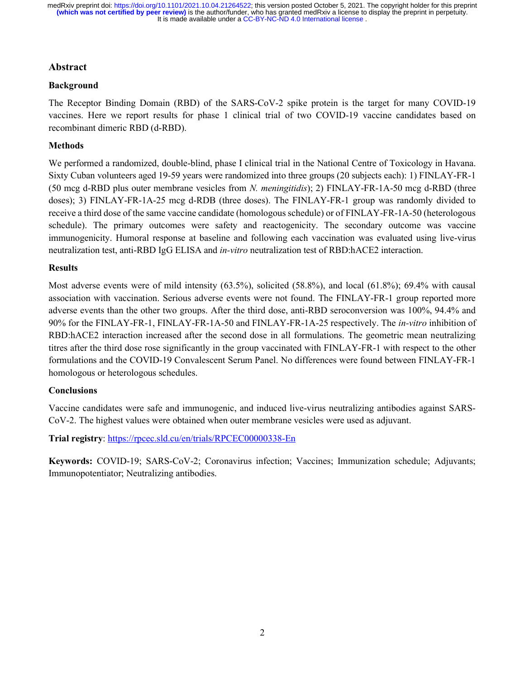#### Abstract

#### Background

The Receptor Binding Domain (RBD) of the SARS-CoV-2 spike protein is the target for many COVID-19 vaccines. Here we report results for phase 1 clinical trial of two COVID-19 vaccine candidates based on recombinant dimeric RBD (d-RBD).

#### Methods

We performed a randomized, double-blind, phase I clinical trial in the National Centre of Toxicology in Havana. Sixty Cuban volunteers aged 19-59 years were randomized into three groups (20 subjects each): 1) FINLAY-FR-1 (50 mcg d-RBD plus outer membrane vesicles from N. meningitidis); 2) FINLAY-FR-1A-50 mcg d-RBD (three doses); 3) FINLAY-FR-1A-25 mcg d-RDB (three doses). The FINLAY-FR-1 group was randomly divided to receive a third dose of the same vaccine candidate (homologous schedule) or of FINLAY-FR-1A-50 (heterologous schedule). The primary outcomes were safety and reactogenicity. The secondary outcome was vaccine immunogenicity. Humoral response at baseline and following each vaccination was evaluated using live-virus neutralization test, anti-RBD IgG ELISA and in-vitro neutralization test of RBD:hACE2 interaction.

#### **Results**

Most adverse events were of mild intensity (63.5%), solicited (58.8%), and local (61.8%); 69.4% with causal association with vaccination. Serious adverse events were not found. The FINLAY-FR-1 group reported more adverse events than the other two groups. After the third dose, anti-RBD seroconversion was 100%, 94.4% and 90% for the FINLAY-FR-1, FINLAY-FR-1A-50 and FINLAY-FR-1A-25 respectively. The *in-vitro* inhibition of RBD:hACE2 interaction increased after the second dose in all formulations. The geometric mean neutralizing titres after the third dose rose significantly in the group vaccinated with FINLAY-FR-1 with respect to the other formulations and the COVID-19 Convalescent Serum Panel. No differences were found between FINLAY-FR-1 homologous or heterologous schedules.

#### Conclusions

Vaccine candidates were safe and immunogenic, and induced live-virus neutralizing antibodies against SARS-CoV-2. The highest values were obtained when outer membrane vesicles were used as adjuvant.

Trial registry: https://rpcec.sld.cu/en/trials/RPCEC00000338-En

Keywords: COVID-19; SARS-CoV-2; Coronavirus infection; Vaccines; Immunization schedule; Adjuvants; Immunopotentiator; Neutralizing antibodies.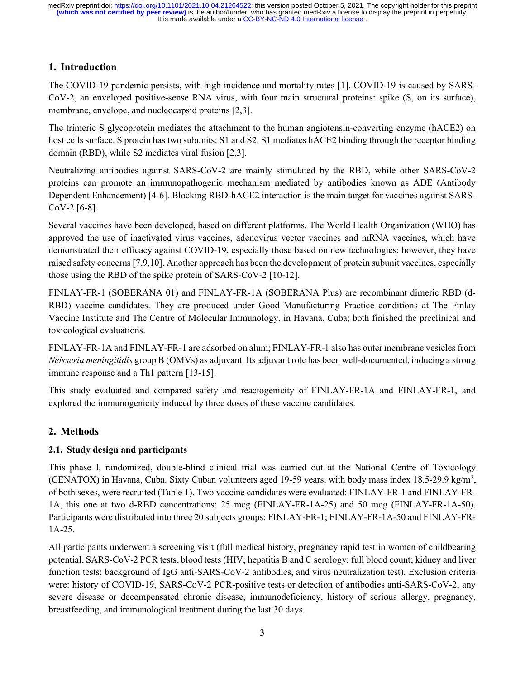# 1. Introduction

The COVID-19 pandemic persists, with high incidence and mortality rates [1]. COVID-19 is caused by SARS-CoV-2, an enveloped positive-sense RNA virus, with four main structural proteins: spike (S, on its surface), membrane, envelope, and nucleocapsid proteins [2,3].

The trimeric S glycoprotein mediates the attachment to the human angiotensin-converting enzyme (hACE2) on host cells surface. S protein has two subunits: S1 and S2. S1 mediates hACE2 binding through the receptor binding domain (RBD), while S2 mediates viral fusion [2,3].

Neutralizing antibodies against SARS-CoV-2 are mainly stimulated by the RBD, while other SARS-CoV-2 proteins can promote an immunopathogenic mechanism mediated by antibodies known as ADE (Antibody Dependent Enhancement) [4-6]. Blocking RBD-hACE2 interaction is the main target for vaccines against SARS-CoV-2 [6-8].

Several vaccines have been developed, based on different platforms. The World Health Organization (WHO) has approved the use of inactivated virus vaccines, adenovirus vector vaccines and mRNA vaccines, which have demonstrated their efficacy against COVID-19, especially those based on new technologies; however, they have raised safety concerns [7,9,10]. Another approach has been the development of protein subunit vaccines, especially those using the RBD of the spike protein of SARS-CoV-2 [10-12].

FINLAY-FR-1 (SOBERANA 01) and FINLAY-FR-1A (SOBERANA Plus) are recombinant dimeric RBD (d-RBD) vaccine candidates. They are produced under Good Manufacturing Practice conditions at The Finlay Vaccine Institute and The Centre of Molecular Immunology, in Havana, Cuba; both finished the preclinical and toxicological evaluations.

FINLAY-FR-1A and FINLAY-FR-1 are adsorbed on alum; FINLAY-FR-1 also has outer membrane vesicles from Neisseria meningitidis group B (OMVs) as adjuvant. Its adjuvant role has been well-documented, inducing a strong immune response and a Th1 pattern [13-15].

This study evaluated and compared safety and reactogenicity of FINLAY-FR-1A and FINLAY-FR-1, and explored the immunogenicity induced by three doses of these vaccine candidates.

# 2. Methods

### 2.1. Study design and participants

This phase I, randomized, double-blind clinical trial was carried out at the National Centre of Toxicology (CENATOX) in Havana, Cuba. Sixty Cuban volunteers aged 19-59 years, with body mass index 18.5-29.9 kg/m<sup>2</sup>, of both sexes, were recruited (Table 1). Two vaccine candidates were evaluated: FINLAY-FR-1 and FINLAY-FR-1A, this one at two d-RBD concentrations: 25 mcg (FINLAY-FR-1A-25) and 50 mcg (FINLAY-FR-1A-50). Participants were distributed into three 20 subjects groups: FINLAY-FR-1; FINLAY-FR-1A-50 and FINLAY-FR-1A-25.

All participants underwent a screening visit (full medical history, pregnancy rapid test in women of childbearing potential, SARS-CoV-2 PCR tests, blood tests (HIV; hepatitis B and C serology; full blood count; kidney and liver function tests; background of IgG anti-SARS-CoV-2 antibodies, and virus neutralization test). Exclusion criteria were: history of COVID-19, SARS-CoV-2 PCR-positive tests or detection of antibodies anti-SARS-CoV-2, any severe disease or decompensated chronic disease, immunodeficiency, history of serious allergy, pregnancy, breastfeeding, and immunological treatment during the last 30 days.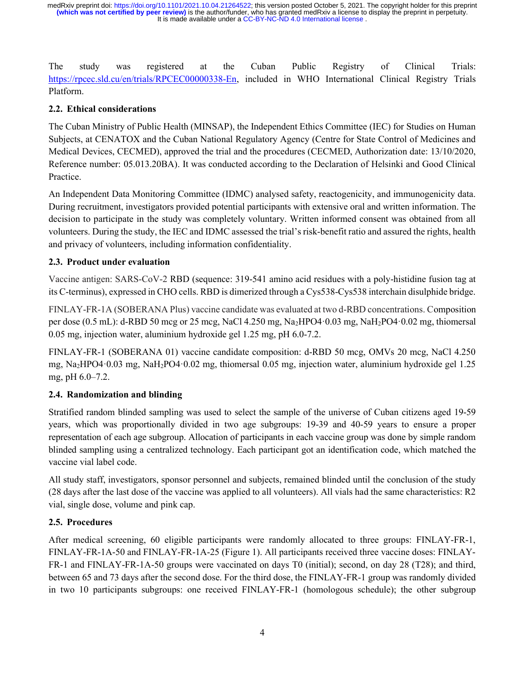The study was registered at the Cuban Public Registry of Clinical Trials: https://rpcec.sld.cu/en/trials/RPCEC00000338-En, included in WHO International Clinical Registry Trials Platform.

### 2.2. Ethical considerations

The Cuban Ministry of Public Health (MINSAP), the Independent Ethics Committee (IEC) for Studies on Human Subjects, at CENATOX and the Cuban National Regulatory Agency (Centre for State Control of Medicines and Medical Devices, CECMED), approved the trial and the procedures (CECMED, Authorization date: 13/10/2020, Reference number: 05.013.20BA). It was conducted according to the Declaration of Helsinki and Good Clinical Practice.

An Independent Data Monitoring Committee (IDMC) analysed safety, reactogenicity, and immunogenicity data. During recruitment, investigators provided potential participants with extensive oral and written information. The decision to participate in the study was completely voluntary. Written informed consent was obtained from all volunteers. During the study, the IEC and IDMC assessed the trial's risk-benefit ratio and assured the rights, health and privacy of volunteers, including information confidentiality.

# 2.3. Product under evaluation

Vaccine antigen: SARS-CoV-2 RBD (sequence: 319-541 amino acid residues with a poly-histidine fusion tag at its C-terminus), expressed in CHO cells. RBD is dimerized through a Cys538-Cys538 interchain disulphide bridge.

FINLAY-FR-1A (SOBERANA Plus) vaccine candidate was evaluated at two d-RBD concentrations. Composition per dose (0.5 mL): d-RBD 50 mcg or 25 mcg, NaCl 4.250 mg, Na2HPO4·0.03 mg, NaH2PO4·0.02 mg, thiomersal 0.05 mg, injection water, aluminium hydroxide gel 1.25 mg, pH 6.0-7.2.

FINLAY-FR-1 (SOBERANA 01) vaccine candidate composition: d-RBD 50 mcg, OMVs 20 mcg, NaCl 4.250 mg, Na2HPO4·0.03 mg, NaH2PO4·0.02 mg, thiomersal 0.05 mg, injection water, aluminium hydroxide gel 1.25 mg, pH 6.0–7.2.

### 2.4. Randomization and blinding

Stratified random blinded sampling was used to select the sample of the universe of Cuban citizens aged 19-59 years, which was proportionally divided in two age subgroups: 19-39 and 40-59 years to ensure a proper representation of each age subgroup. Allocation of participants in each vaccine group was done by simple random blinded sampling using a centralized technology. Each participant got an identification code, which matched the vaccine vial label code.

All study staff, investigators, sponsor personnel and subjects, remained blinded until the conclusion of the study (28 days after the last dose of the vaccine was applied to all volunteers). All vials had the same characteristics: R2 vial, single dose, volume and pink cap.

### 2.5. Procedures

After medical screening, 60 eligible participants were randomly allocated to three groups: FINLAY-FR-1, FINLAY-FR-1A-50 and FINLAY-FR-1A-25 (Figure 1). All participants received three vaccine doses: FINLAY-FR-1 and FINLAY-FR-1A-50 groups were vaccinated on days T0 (initial); second, on day 28 (T28); and third, between 65 and 73 days after the second dose. For the third dose, the FINLAY-FR-1 group was randomly divided in two 10 participants subgroups: one received FINLAY-FR-1 (homologous schedule); the other subgroup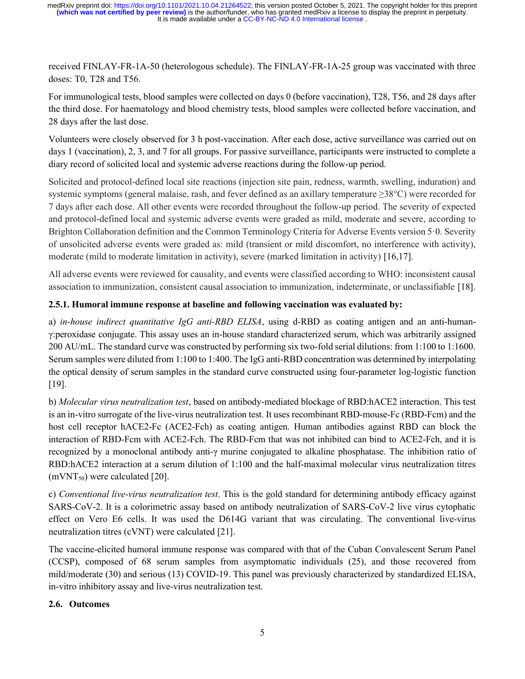received FINLAY-FR-1A-50 (heterologous schedule). The FINLAY-FR-1A-25 group was vaccinated with three doses: T0, T28 and T56.

For immunological tests, blood samples were collected on days 0 (before vaccination), T28, T56, and 28 days after the third dose. For haematology and blood chemistry tests, blood samples were collected before vaccination, and 28 days after the last dose.

Volunteers were closely observed for 3 h post-vaccination. After each dose, active surveillance was carried out on days 1 (vaccination), 2, 3, and 7 for all groups. For passive surveillance, participants were instructed to complete a diary record of solicited local and systemic adverse reactions during the follow-up period.

Solicited and protocol-defined local site reactions (injection site pain, redness, warmth, swelling, induration) and systemic symptoms (general malaise, rash, and fever defined as an axillary temperature ≥38°C) were recorded for 7 days after each dose. All other events were recorded throughout the follow-up period. The severity of expected and protocol-defined local and systemic adverse events were graded as mild, moderate and severe, according to Brighton Collaboration definition and the Common Terminology Criteria for Adverse Events version 5·0. Severity of unsolicited adverse events were graded as: mild (transient or mild discomfort, no interference with activity), moderate (mild to moderate limitation in activity), severe (marked limitation in activity) [16,17].

All adverse events were reviewed for causality, and events were classified according to WHO: inconsistent causal association to immunization, consistent causal association to immunization, indeterminate, or unclassifiable [18].

# 2.5.1. Humoral immune response at baseline and following vaccination was evaluated by:

a) in-house indirect quantitative IgG anti-RBD ELISA, using d-RBD as coating antigen and an anti-humanγ:peroxidase conjugate. This assay uses an in-house standard characterized serum, which was arbitrarily assigned 200 AU/mL. The standard curve was constructed by performing six two-fold serial dilutions: from 1:100 to 1:1600. Serum samples were diluted from 1:100 to 1:400. The IgG anti-RBD concentration was determined by interpolating the optical density of serum samples in the standard curve constructed using four-parameter log-logistic function [19].

b) Molecular virus neutralization test, based on antibody-mediated blockage of RBD:hACE2 interaction. This test is an in-vitro surrogate of the live-virus neutralization test. It uses recombinant RBD-mouse-Fc (RBD-Fcm) and the host cell receptor hACE2-Fc (ACE2-Fch) as coating antigen. Human antibodies against RBD can block the interaction of RBD-Fcm with ACE2-Fch. The RBD-Fcm that was not inhibited can bind to ACE2-Fch, and it is recognized by a monoclonal antibody anti-γ murine conjugated to alkaline phosphatase. The inhibition ratio of RBD:hACE2 interaction at a serum dilution of 1:100 and the half-maximal molecular virus neutralization titres  $(mVNT<sub>50</sub>)$  were calculated [20].

c) Conventional live-virus neutralization test. This is the gold standard for determining antibody efficacy against SARS-CoV-2. It is a colorimetric assay based on antibody neutralization of SARS-CoV-2 live virus cytophatic effect on Vero E6 cells. It was used the D614G variant that was circulating. The conventional live-virus neutralization titres (cVNT) were calculated [21].

The vaccine-elicited humoral immune response was compared with that of the Cuban Convalescent Serum Panel (CCSP), composed of 68 serum samples from asymptomatic individuals (25), and those recovered from mild/moderate (30) and serious (13) COVID-19. This panel was previously characterized by standardized ELISA, in-vitro inhibitory assay and live-virus neutralization test.

### 2.6. Outcomes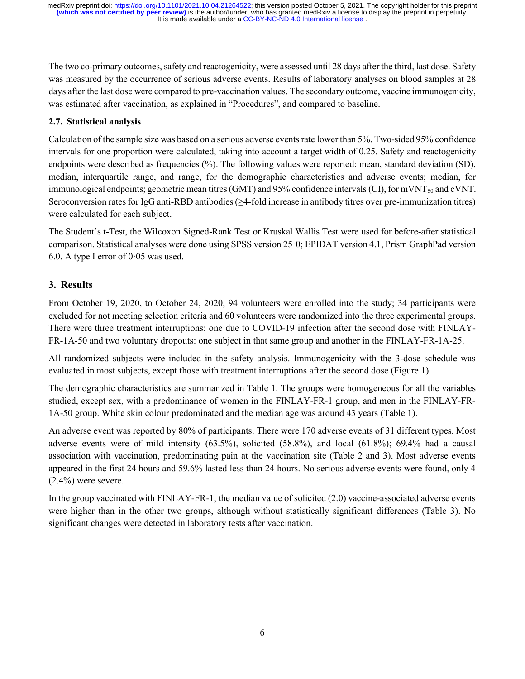The two co-primary outcomes, safety and reactogenicity, were assessed until 28 days after the third, last dose. Safety was measured by the occurrence of serious adverse events. Results of laboratory analyses on blood samples at 28 days after the last dose were compared to pre-vaccination values. The secondary outcome, vaccine immunogenicity, was estimated after vaccination, as explained in "Procedures", and compared to baseline.

#### 2.7. Statistical analysis

Calculation of the sample size was based on a serious adverse events rate lower than 5%. Two-sided 95% confidence intervals for one proportion were calculated, taking into account a target width of 0.25. Safety and reactogenicity endpoints were described as frequencies (%). The following values were reported: mean, standard deviation (SD), median, interquartile range, and range, for the demographic characteristics and adverse events; median, for immunological endpoints; geometric mean titres (GMT) and 95% confidence intervals (CI), for mVNT<sub>50</sub> and cVNT. Seroconversion rates for IgG anti-RBD antibodies (≥4-fold increase in antibody titres over pre-immunization titres) were calculated for each subject.

The Student's t-Test, the Wilcoxon Signed-Rank Test or Kruskal Wallis Test were used for before-after statistical comparison. Statistical analyses were done using SPSS version 25·0; EPIDAT version 4.1, Prism GraphPad version 6.0. A type I error of  $0.05$  was used.

### 3. Results

From October 19, 2020, to October 24, 2020, 94 volunteers were enrolled into the study; 34 participants were excluded for not meeting selection criteria and 60 volunteers were randomized into the three experimental groups. There were three treatment interruptions: one due to COVID-19 infection after the second dose with FINLAY-FR-1A-50 and two voluntary dropouts: one subject in that same group and another in the FINLAY-FR-1A-25.

All randomized subjects were included in the safety analysis. Immunogenicity with the 3-dose schedule was evaluated in most subjects, except those with treatment interruptions after the second dose (Figure 1).

The demographic characteristics are summarized in Table 1. The groups were homogeneous for all the variables studied, except sex, with a predominance of women in the FINLAY-FR-1 group, and men in the FINLAY-FR-1A-50 group. White skin colour predominated and the median age was around 43 years (Table 1).

An adverse event was reported by 80% of participants. There were 170 adverse events of 31 different types. Most adverse events were of mild intensity (63.5%), solicited (58.8%), and local (61.8%); 69.4% had a causal association with vaccination, predominating pain at the vaccination site (Table 2 and 3). Most adverse events appeared in the first 24 hours and 59.6% lasted less than 24 hours. No serious adverse events were found, only 4  $(2.4\%)$  were severe.

In the group vaccinated with FINLAY-FR-1, the median value of solicited (2.0) vaccine-associated adverse events were higher than in the other two groups, although without statistically significant differences (Table 3). No significant changes were detected in laboratory tests after vaccination.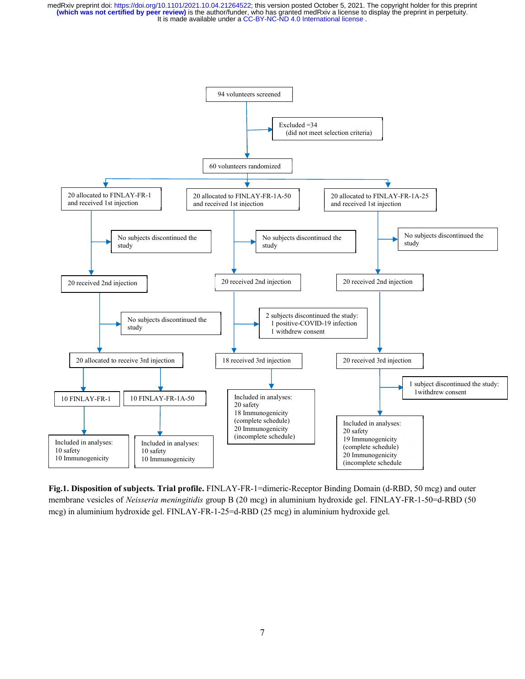

Fig.1. Disposition of subjects. Trial profile. FINLAY-FR-1=dimeric-Receptor Binding Domain (d-RBD, 50 mcg) and outer membrane vesicles of Neisseria meningitidis group B (20 mcg) in aluminium hydroxide gel. FINLAY-FR-1-50=d-RBD (50 mcg) in aluminium hydroxide gel. FINLAY-FR-1-25=d-RBD (25 mcg) in aluminium hydroxide gel.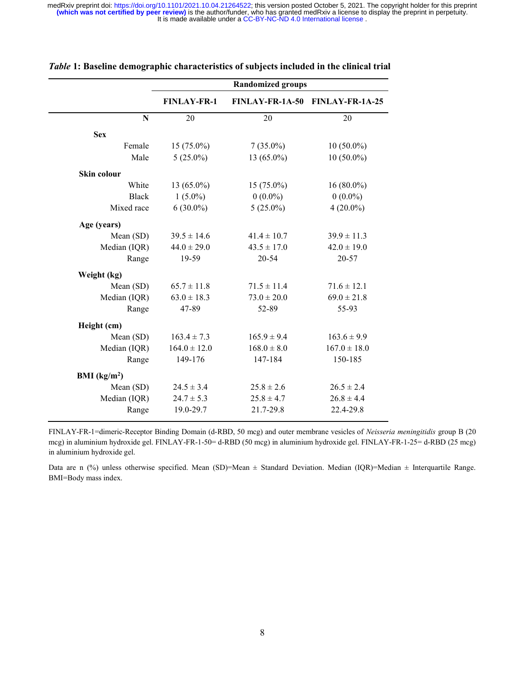|               | <b>Randomized groups</b> |                 |                                 |  |  |  |
|---------------|--------------------------|-----------------|---------------------------------|--|--|--|
|               | <b>FINLAY-FR-1</b>       |                 | FINLAY-FR-1A-50 FINLAY-FR-1A-25 |  |  |  |
| N             | 20                       | 20              | 20                              |  |  |  |
| <b>Sex</b>    |                          |                 |                                 |  |  |  |
| Female        | $15(75.0\%)$             | $7(35.0\%)$     | $10(50.0\%)$                    |  |  |  |
| Male          | $5(25.0\%)$              | 13 (65.0%)      | $10(50.0\%)$                    |  |  |  |
| Skin colour   |                          |                 |                                 |  |  |  |
| White         | 13 (65.0%)               | $15(75.0\%)$    | $16(80.0\%)$                    |  |  |  |
| <b>Black</b>  | $1(5.0\%)$               | $0(0.0\%)$      | $0(0.0\%)$                      |  |  |  |
| Mixed race    | $6(30.0\%)$              | $5(25.0\%)$     | $4(20.0\%)$                     |  |  |  |
| Age (years)   |                          |                 |                                 |  |  |  |
| Mean (SD)     | $39.5 \pm 14.6$          | $41.4 \pm 10.7$ | $39.9 \pm 11.3$                 |  |  |  |
| Median (IQR)  | $44.0 \pm 29.0$          | $43.5 \pm 17.0$ | $42.0 \pm 19.0$                 |  |  |  |
| Range         | 19-59                    | $20 - 54$       | $20 - 57$                       |  |  |  |
| Weight (kg)   |                          |                 |                                 |  |  |  |
| Mean (SD)     | $65.7 \pm 11.8$          | $71.5 \pm 11.4$ | $71.6 \pm 12.1$                 |  |  |  |
| Median (IQR)  | $63.0 \pm 18.3$          | $73.0 \pm 20.0$ | $69.0 \pm 21.8$                 |  |  |  |
| Range         | 47-89                    | 52-89           | 55-93                           |  |  |  |
| Height (cm)   |                          |                 |                                 |  |  |  |
| Mean (SD)     | $163.4 \pm 7.3$          | $165.9 \pm 9.4$ | $163.6 \pm 9.9$                 |  |  |  |
| Median (IQR)  | $164.0 \pm 12.0$         | $168.0 \pm 8.0$ | $167.0 \pm 18.0$                |  |  |  |
| Range         | 149-176                  | 147-184         | 150-185                         |  |  |  |
| BMI $(kg/m2)$ |                          |                 |                                 |  |  |  |
| Mean (SD)     | $24.5 \pm 3.4$           | $25.8 \pm 2.6$  | $26.5 \pm 2.4$                  |  |  |  |
| Median (IQR)  | $24.7 \pm 5.3$           | $25.8 \pm 4.7$  | $26.8 \pm 4.4$                  |  |  |  |
| Range         | 19.0-29.7                | 21.7-29.8       | 22.4-29.8                       |  |  |  |

#### Table 1: Baseline demographic characteristics of subjects included in the clinical trial

FINLAY-FR-1=dimeric-Receptor Binding Domain (d-RBD, 50 mcg) and outer membrane vesicles of Neisseria meningitidis group B (20 mcg) in aluminium hydroxide gel. FINLAY-FR-1-50= d-RBD (50 mcg) in aluminium hydroxide gel. FINLAY-FR-1-25= d-RBD (25 mcg) in aluminium hydroxide gel.

Data are n (%) unless otherwise specified. Mean (SD)=Mean  $\pm$  Standard Deviation. Median (IQR)=Median  $\pm$  Interquartile Range. BMI=Body mass index.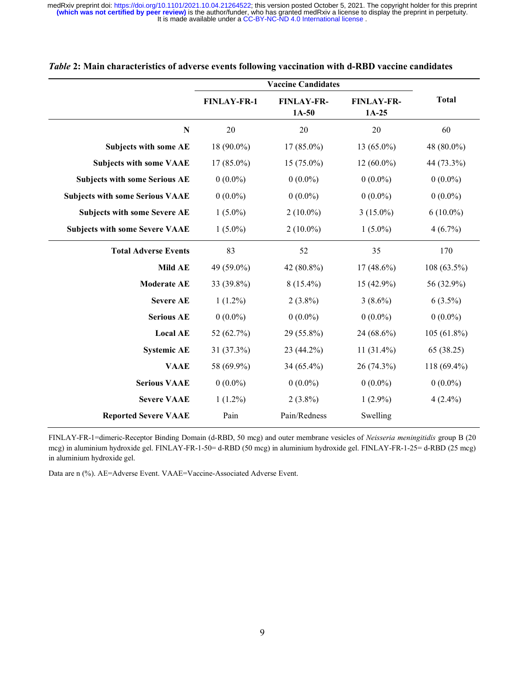|                                        | <b>FINLAY-FR-1</b> | <b>FINLAY-FR-</b><br>$1A-50$                           | <b>FINLAY-FR-</b><br>$1A-25$ | <b>Total</b>                                            |  |
|----------------------------------------|--------------------|--------------------------------------------------------|------------------------------|---------------------------------------------------------|--|
| N                                      | 20                 | 20                                                     | 20                           | 60                                                      |  |
| <b>Subjects with some AE</b>           | 18 (90.0%)         | $17(85.0\%)$                                           | 13 (65.0%)                   | 48 (80.0%)                                              |  |
| <b>Subjects with some VAAE</b>         | $17(85.0\%)$       | $15(75.0\%)$                                           | $12(60.0\%)$                 | 44 (73.3%)                                              |  |
| <b>Subjects with some Serious AE</b>   | $0(0.0\%)$         | $0(0.0\%)$                                             | $0(0.0\%)$                   | $0(0.0\%)$                                              |  |
| <b>Subjects with some Serious VAAE</b> | $0(0.0\%)$         | $0(0.0\%)$                                             | $0(0.0\%)$                   | $0(0.0\%)$                                              |  |
| <b>Subjects with some Severe AE</b>    | $1(5.0\%)$         | $2(10.0\%)$                                            | $3(15.0\%)$                  | $6(10.0\%)$                                             |  |
| <b>Subjects with some Severe VAAE</b>  | $1(5.0\%)$         | $2(10.0\%)$                                            | $1(5.0\%)$                   | $4(6.7\%)$                                              |  |
| <b>Total Adverse Events</b>            | 83                 | 52                                                     | 35                           | 170                                                     |  |
| <b>Mild AE</b>                         | 49 (59.0%)         | 42 (80.8%)                                             | $17(48.6\%)$                 | 108 (63.5%)                                             |  |
| <b>Moderate AE</b>                     | 33 (39.8%)         | $8(15.4\%)$                                            | 15 (42.9%)                   | 56 (32.9%)<br>$6(3.5\%)$<br>$0(0.0\%)$<br>$105(61.8\%)$ |  |
| <b>Severe AE</b>                       | $1(1.2\%)$         | $2(3.8\%)$                                             | $3(8.6\%)$<br>$0(0.0\%)$     |                                                         |  |
| <b>Serious AE</b>                      | $0(0.0\%)$         | $0(0.0\%)$                                             |                              |                                                         |  |
| <b>Local AE</b>                        | 52 (62.7%)         | 29 (55.8%)                                             | 24 (68.6%)                   |                                                         |  |
| <b>Systemic AE</b>                     | 31 (37.3%)         | 23 (44.2%)<br>$11(31.4\%)$<br>34 (65.4%)<br>26 (74.3%) |                              | 65 (38.25)<br>118 (69.4%)                               |  |
| <b>VAAE</b>                            | 58 (69.9%)         |                                                        |                              |                                                         |  |
| <b>Serious VAAE</b>                    | $0(0.0\%)$         | $0(0.0\%)$                                             | $0(0.0\%)$                   | $0(0.0\%)$<br>$4(2.4\%)$                                |  |
| <b>Severe VAAE</b>                     | $1(1.2\%)$         | $2(3.8\%)$                                             | $1(2.9\%)$                   |                                                         |  |
| <b>Reported Severe VAAE</b>            | Pain               | Pain/Redness                                           | Swelling                     |                                                         |  |

#### Table 2: Main characteristics of adverse events following vaccination with d-RBD vaccine candidates

FINLAY-FR-1=dimeric-Receptor Binding Domain (d-RBD, 50 mcg) and outer membrane vesicles of Neisseria meningitidis group B (20 mcg) in aluminium hydroxide gel. FINLAY-FR-1-50= d-RBD (50 mcg) in aluminium hydroxide gel. FINLAY-FR-1-25= d-RBD (25 mcg) in aluminium hydroxide gel.

Data are n (%). AE=Adverse Event. VAAE=Vaccine-Associated Adverse Event.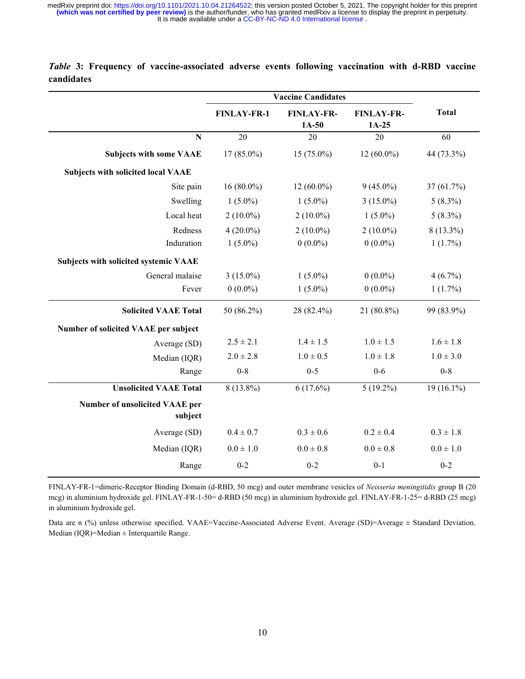|                                                  | <b>Vaccine Candidates</b>                          |               |                              |                                       |  |
|--------------------------------------------------|----------------------------------------------------|---------------|------------------------------|---------------------------------------|--|
|                                                  | <b>FINLAY-FR-</b><br><b>FINLAY-FR-1</b><br>$1A-50$ |               | <b>FINLAY-FR-</b><br>$1A-25$ | <b>Total</b>                          |  |
| N                                                | 20                                                 | 20            | 20                           | 60                                    |  |
| <b>Subjects with some VAAE</b>                   | $17(85.0\%)$                                       | $15(75.0\%)$  | $12(60.0\%)$                 | 44 (73.3%)                            |  |
| <b>Subjects with solicited local VAAE</b>        |                                                    |               |                              |                                       |  |
| Site pain                                        | $16(80.0\%)$                                       | $12(60.0\%)$  | $9(45.0\%)$                  | 37(61.7%)                             |  |
| Swelling                                         | $1(5.0\%)$                                         | $1(5.0\%)$    | $3(15.0\%)$                  | $5(8.3\%)$<br>$5(8.3\%)$<br>8 (13.3%) |  |
| Local heat                                       | $2(10.0\%)$                                        | $2(10.0\%)$   | $1(5.0\%)$                   |                                       |  |
| Redness                                          | $4(20.0\%)$                                        | $2(10.0\%)$   | $2(10.0\%)$                  |                                       |  |
| Induration                                       | $1(5.0\%)$                                         | $0(0.0\%)$    | $0(0.0\%)$                   | $1(1.7\%)$                            |  |
| Subjects with solicited systemic VAAE            |                                                    |               |                              |                                       |  |
| General malaise                                  | $3(15.0\%)$                                        | $1(5.0\%)$    | $0(0.0\%)$                   | $4(6.7\%)$                            |  |
| Fever                                            | $0(0.0\%)$                                         | $1(5.0\%)$    | $0(0.0\%)$                   | $1(1.7\%)$                            |  |
| <b>Solicited VAAE Total</b>                      | 50 (86.2%)                                         | 28 (82.4%)    | 21 (80.8%)                   | 99 (83.9%)                            |  |
| Number of solicited VAAE per subject             |                                                    |               |                              |                                       |  |
| Average (SD)                                     | $2.5 \pm 2.1$                                      | $1.4 \pm 1.5$ | $1.0 \pm 1.5$                | $1.6 \pm 1.8$                         |  |
| Median (IQR)                                     | $2.0 \pm 2.8$                                      | $1.0 \pm 0.5$ | $1.0 \pm 1.8$                | $1.0 \pm 3.0$                         |  |
| Range                                            | $0 - 8$                                            | $0 - 5$       | $0-6$                        | $0 - 8$                               |  |
| <b>Unsolicited VAAE Total</b>                    | $8(13.8\%)$                                        | $6(17.6\%)$   | $5(19.2\%)$                  | 19 (16.1%)                            |  |
| <b>Number of unsolicited VAAE per</b><br>subject |                                                    |               |                              |                                       |  |
| Average (SD)                                     | $0.4 \pm 0.7$                                      | $0.3 \pm 0.6$ | $0.2 \pm 0.4$                | $0.3 \pm 1.8$                         |  |
| Median (IQR)                                     | $0.0 \pm 1.0$                                      | $0.0 \pm 0.8$ | $0.0 \pm 0.8$                | $0.0 \pm 1.0$                         |  |
| Range                                            | $0 - 2$                                            | $0 - 2$       | $0 - 1$                      | $0 - 2$                               |  |

### Table 3: Frequency of vaccine-associated adverse events following vaccination with d-RBD vaccine candidates

FINLAY-FR-1=dimeric-Receptor Binding Domain (d-RBD, 50 mcg) and outer membrane vesicles of Neisseria meningitidis group B (20 mcg) in aluminium hydroxide gel. FINLAY-FR-1-50= d-RBD (50 mcg) in aluminium hydroxide gel. FINLAY-FR-1-25= d-RBD (25 mcg) in aluminium hydroxide gel.

Data are n (%) unless otherwise specified. VAAE=Vaccine-Associated Adverse Event. Average (SD)=Average  $\pm$  Standard Deviation. Median (IQR)=Median ± Interquartile Range.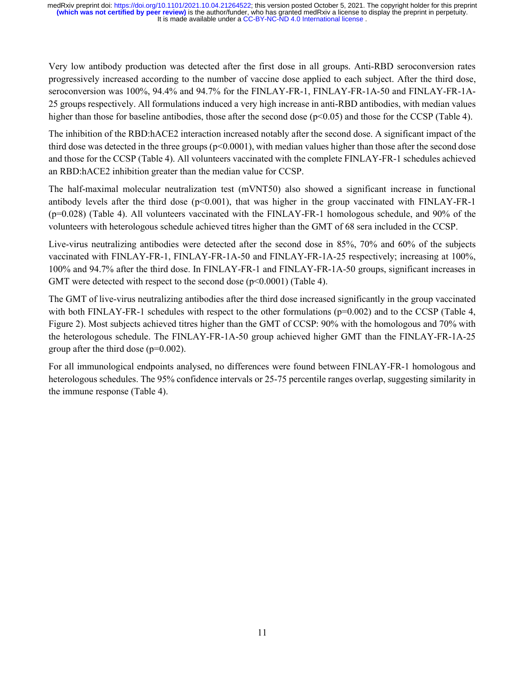Very low antibody production was detected after the first dose in all groups. Anti-RBD seroconversion rates progressively increased according to the number of vaccine dose applied to each subject. After the third dose, seroconversion was 100%, 94.4% and 94.7% for the FINLAY-FR-1, FINLAY-FR-1A-50 and FINLAY-FR-1A-25 groups respectively. All formulations induced a very high increase in anti-RBD antibodies, with median values higher than those for baseline antibodies, those after the second dose (p<0.05) and those for the CCSP (Table 4).

The inhibition of the RBD:hACE2 interaction increased notably after the second dose. A significant impact of the third dose was detected in the three groups  $(p<0.0001)$ , with median values higher than those after the second dose and those for the CCSP (Table 4). All volunteers vaccinated with the complete FINLAY-FR-1 schedules achieved an RBD:hACE2 inhibition greater than the median value for CCSP.

The half-maximal molecular neutralization test (mVNT50) also showed a significant increase in functional antibody levels after the third dose  $(p<0.001)$ , that was higher in the group vaccinated with FINLAY-FR-1 (p=0.028) (Table 4). All volunteers vaccinated with the FINLAY-FR-1 homologous schedule, and 90% of the volunteers with heterologous schedule achieved titres higher than the GMT of 68 sera included in the CCSP.

Live-virus neutralizing antibodies were detected after the second dose in 85%, 70% and 60% of the subjects vaccinated with FINLAY-FR-1, FINLAY-FR-1A-50 and FINLAY-FR-1A-25 respectively; increasing at 100%, 100% and 94.7% after the third dose. In FINLAY-FR-1 and FINLAY-FR-1A-50 groups, significant increases in GMT were detected with respect to the second dose  $(p<0.0001)$  (Table 4).

The GMT of live-virus neutralizing antibodies after the third dose increased significantly in the group vaccinated with both FINLAY-FR-1 schedules with respect to the other formulations (p=0.002) and to the CCSP (Table 4, Figure 2). Most subjects achieved titres higher than the GMT of CCSP: 90% with the homologous and 70% with the heterologous schedule. The FINLAY-FR-1A-50 group achieved higher GMT than the FINLAY-FR-1A-25 group after the third dose  $(p=0.002)$ .

For all immunological endpoints analysed, no differences were found between FINLAY-FR-1 homologous and heterologous schedules. The 95% confidence intervals or 25-75 percentile ranges overlap, suggesting similarity in the immune response (Table 4).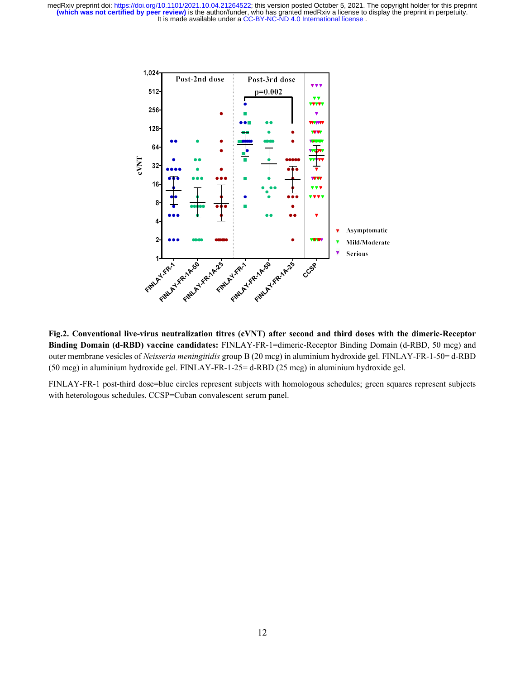

Fig.2. Conventional live-virus neutralization titres (cVNT) after second and third doses with the dimeric-Receptor Binding Domain (d-RBD) vaccine candidates: FINLAY-FR-1=dimeric-Receptor Binding Domain (d-RBD, 50 mcg) and outer membrane vesicles of Neisseria meningitidis group B (20 mcg) in aluminium hydroxide gel. FINLAY-FR-1-50= d-RBD (50 mcg) in aluminium hydroxide gel. FINLAY-FR-1-25= d-RBD (25 mcg) in aluminium hydroxide gel.

FINLAY-FR-1 post-third dose=blue circles represent subjects with homologous schedules; green squares represent subjects with heterologous schedules. CCSP=Cuban convalescent serum panel.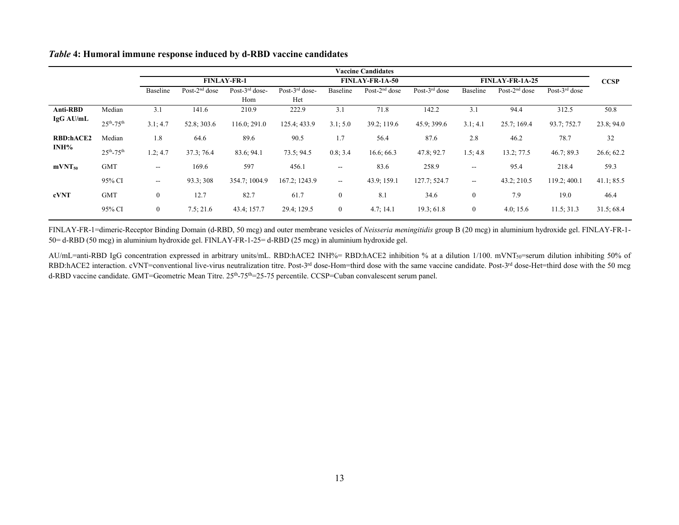|                                |                     | <b>Vaccine Candidates</b> |                  |                          |                          |                        |                  |                  |                          |                  |                  |             |
|--------------------------------|---------------------|---------------------------|------------------|--------------------------|--------------------------|------------------------|------------------|------------------|--------------------------|------------------|------------------|-------------|
|                                |                     | <b>FINLAY-FR-1</b>        |                  |                          |                          | <b>FINLAY-FR-1A-50</b> |                  |                  | <b>FINLAY-FR-1A-25</b>   |                  |                  | <b>CCSP</b> |
|                                |                     | Baseline                  | Post- $2nd$ dose | Post- $3rd$ dose-<br>Hom | Post- $3rd$ dose-<br>Het | Baseline               | Post- $2nd$ dose | Post- $3rd$ dose | Baseline                 | Post- $2nd$ dose | Post- $3rd$ dose |             |
| Anti-RBD<br>$IgG \text{AU/mL}$ | Median              | 3.1                       | 141.6            | 210.9                    | 222.9                    | 3.1                    | 71.8             | 142.2            | 3.1                      | 94.4             | 312.5            | 50.8        |
|                                | $25^{th} - 75^{th}$ | 3.1:4.7                   | 52.8; 303.6      | 116.0; 291.0             | 125.4; 433.9             | 3.1:5.0                | 39.2; 119.6      | 45.9; 399.6      | 3.1; 4.1                 | 25.7;169.4       | 93.7: 752.7      | 23.8; 94.0  |
| <b>RBD:hACE2</b><br>INH%       | Median              | 1.8                       | 64.6             | 89.6                     | 90.5                     | 1.7                    | 56.4             | 87.6             | 2.8                      | 46.2             | 78.7             | 32          |
|                                | $25^{th} - 75^{th}$ | 1.2; 4.7                  | 37.3:76.4        | 83.6; 94.1               | 73.5:94.5                | 0.8; 3.4               | 16.6; 66.3       | 47.8; 92.7       | 1.5; 4.8                 | 13.2; 77.5       | 46.7;89.3        | 26.6; 62.2  |
| mVNT <sub>50</sub>             | <b>GMT</b>          | $\sim$ $\sim$             | 169.6            | 597                      | 456.1                    | $\sim$                 | 83.6             | 258.9            | $\overline{\phantom{a}}$ | 95.4             | 218.4            | 59.3        |
| cVNT                           | 95% CI              | $\overline{\phantom{m}}$  | 93.3; 308        | 354.7; 1004.9            | 167.2; 1243.9            | $\sim$                 | 43.9; 159.1      | 127.7; 524.7     | $\overline{\phantom{a}}$ | 43.2; 210.5      | 119.2; 400.1     | 41.1; 85.5  |
|                                | <b>GMT</b>          | $\boldsymbol{0}$          | 12.7             | 82.7                     | 61.7                     | $\boldsymbol{0}$       | 8.1              | 34.6             | $\boldsymbol{0}$         | 7.9              | 19.0             | 46.4        |
|                                | 95% CI              | $\mathbf{0}$              | 7.5; 21.6        | 43.4; 157.7              | 29.4; 129.5              | $\boldsymbol{0}$       | 4.7:14.1         | 19.3:61.8        | $\boldsymbol{0}$         | 4.0; 15.6        | 11.5; 31.3       | 31.5;68.4   |

#### Table 4: Humoral immune response induced by d-RBD vaccine candidates

FINLAY-FR-1=dimeric-Receptor Binding Domain (d-RBD, 50 mcg) and outer membrane vesicles of Neisseria meningitidis group B (20 mcg) in aluminium hydroxide gel. FINLAY-FR-1- 50= d-RBD (50 mcg) in aluminium hydroxide gel. FINLAY-FR-1-25= d-RBD (25 mcg) in aluminium hydroxide gel.

AU/mL=anti-RBD IgG concentration expressed in arbitrary units/mL. RBD:hACE2 INH%= RBD:hACE2 inhibition % at a dilution 1/100. mVNT50=serum dilution inhibiting 50% of RBD:hACE2 interaction. cVNT=conventional live-virus neutralization titre. Post-3<sup>rd</sup> dose-Hom=third dose with the same vaccine candidate. Post-3<sup>rd</sup> dose-Het=third dose with the 50 mcg d-RBD vaccine candidate. GMT=Geometric Mean Titre. 25<sup>th</sup>-75<sup>th</sup>=25-75 percentile. CCSP=Cuban convalescent serum panel.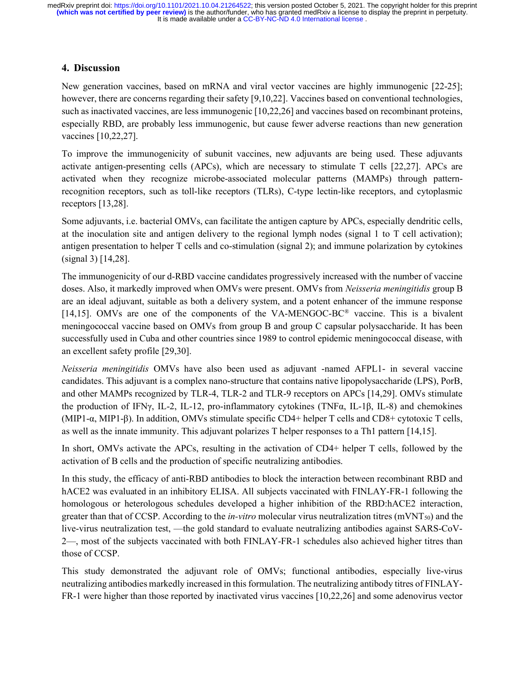### 4. Discussion

New generation vaccines, based on mRNA and viral vector vaccines are highly immunogenic [22-25]; however, there are concerns regarding their safety [9,10,22]. Vaccines based on conventional technologies, such as inactivated vaccines, are less immunogenic [10,22,26] and vaccines based on recombinant proteins, especially RBD, are probably less immunogenic, but cause fewer adverse reactions than new generation vaccines [10,22,27].

To improve the immunogenicity of subunit vaccines, new adjuvants are being used. These adjuvants activate antigen-presenting cells (APCs), which are necessary to stimulate T cells [22,27]. APCs are activated when they recognize microbe-associated molecular patterns (MAMPs) through patternrecognition receptors, such as toll-like receptors (TLRs), C-type lectin-like receptors, and cytoplasmic receptors [13,28].

Some adjuvants, i.e. bacterial OMVs, can facilitate the antigen capture by APCs, especially dendritic cells, at the inoculation site and antigen delivery to the regional lymph nodes (signal 1 to T cell activation); antigen presentation to helper T cells and co-stimulation (signal 2); and immune polarization by cytokines (signal 3) [14,28].

The immunogenicity of our d-RBD vaccine candidates progressively increased with the number of vaccine doses. Also, it markedly improved when OMVs were present. OMVs from *Neisseria meningitidis* group B are an ideal adjuvant, suitable as both a delivery system, and a potent enhancer of the immune response [14,15]. OMVs are one of the components of the VA-MENGOC-BC<sup>®</sup> vaccine. This is a bivalent meningococcal vaccine based on OMVs from group B and group C capsular polysaccharide. It has been successfully used in Cuba and other countries since 1989 to control epidemic meningococcal disease, with an excellent safety profile [29,30].

Neisseria meningitidis OMVs have also been used as adjuvant -named AFPL1- in several vaccine candidates. This adjuvant is a complex nano-structure that contains native lipopolysaccharide (LPS), PorB, and other MAMPs recognized by TLR-4, TLR-2 and TLR-9 receptors on APCs [14,29]. OMVs stimulate the production of IFNγ, IL-2, IL-12, pro-inflammatory cytokines (TNFα, IL-1β, IL-8) and chemokines (MIP1-α, MIP1-β). In addition, OMVs stimulate specific CD4+ helper T cells and CD8+ cytotoxic T cells, as well as the innate immunity. This adjuvant polarizes T helper responses to a Th1 pattern [14,15].

In short, OMVs activate the APCs, resulting in the activation of CD4+ helper T cells, followed by the activation of B cells and the production of specific neutralizing antibodies.

In this study, the efficacy of anti-RBD antibodies to block the interaction between recombinant RBD and hACE2 was evaluated in an inhibitory ELISA. All subjects vaccinated with FINLAY-FR-1 following the homologous or heterologous schedules developed a higher inhibition of the RBD:hACE2 interaction, greater than that of CCSP. According to the *in-vitro* molecular virus neutralization titres (mVNT<sub>50</sub>) and the live-virus neutralization test, —the gold standard to evaluate neutralizing antibodies against SARS-CoV-2—, most of the subjects vaccinated with both FINLAY-FR-1 schedules also achieved higher titres than those of CCSP.

This study demonstrated the adjuvant role of OMVs; functional antibodies, especially live-virus neutralizing antibodies markedly increased in this formulation. The neutralizing antibody titres of FINLAY-FR-1 were higher than those reported by inactivated virus vaccines [10,22,26] and some adenovirus vector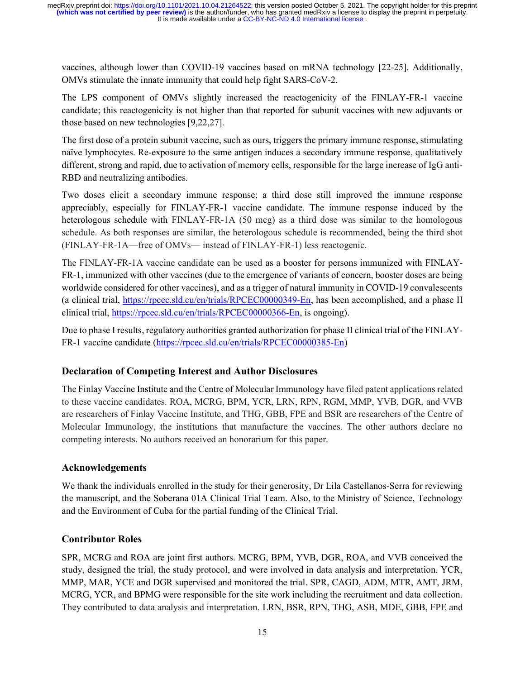vaccines, although lower than COVID-19 vaccines based on mRNA technology [22-25]. Additionally, OMVs stimulate the innate immunity that could help fight SARS-CoV-2.

The LPS component of OMVs slightly increased the reactogenicity of the FINLAY-FR-1 vaccine candidate; this reactogenicity is not higher than that reported for subunit vaccines with new adjuvants or those based on new technologies [9,22,27].

The first dose of a protein subunit vaccine, such as ours, triggers the primary immune response, stimulating naïve lymphocytes. Re-exposure to the same antigen induces a secondary immune response, qualitatively different, strong and rapid, due to activation of memory cells, responsible for the large increase of IgG anti-RBD and neutralizing antibodies.

Two doses elicit a secondary immune response; a third dose still improved the immune response appreciably, especially for FINLAY-FR-1 vaccine candidate. The immune response induced by the heterologous schedule with FINLAY-FR-1A (50 mcg) as a third dose was similar to the homologous schedule. As both responses are similar, the heterologous schedule is recommended, being the third shot (FINLAY-FR-1A—free of OMVs— instead of FINLAY-FR-1) less reactogenic.

The FINLAY-FR-1A vaccine candidate can be used as a booster for persons immunized with FINLAY-FR-1, immunized with other vaccines (due to the emergence of variants of concern, booster doses are being worldwide considered for other vaccines), and as a trigger of natural immunity in COVID-19 convalescents (a clinical trial, https://rpcec.sld.cu/en/trials/RPCEC00000349-En, has been accomplished, and a phase II clinical trial, https://rpcec.sld.cu/en/trials/RPCEC00000366-En, is ongoing).

Due to phase I results, regulatory authorities granted authorization for phase II clinical trial of the FINLAY-FR-1 vaccine candidate (https://rpcec.sld.cu/en/trials/RPCEC00000385-En)

# Declaration of Competing Interest and Author Disclosures

The Finlay Vaccine Institute and the Centre of Molecular Immunology have filed patent applications related to these vaccine candidates. ROA, MCRG, BPM, YCR, LRN, RPN, RGM, MMP, YVB, DGR, and VVB are researchers of Finlay Vaccine Institute, and THG, GBB, FPE and BSR are researchers of the Centre of Molecular Immunology, the institutions that manufacture the vaccines. The other authors declare no competing interests. No authors received an honorarium for this paper.

### Acknowledgements

We thank the individuals enrolled in the study for their generosity, Dr Lila Castellanos-Serra for reviewing the manuscript, and the Soberana 01A Clinical Trial Team. Also, to the Ministry of Science, Technology and the Environment of Cuba for the partial funding of the Clinical Trial.

### Contributor Roles

SPR, MCRG and ROA are joint first authors. MCRG, BPM, YVB, DGR, ROA, and VVB conceived the study, designed the trial, the study protocol, and were involved in data analysis and interpretation. YCR, MMP, MAR, YCE and DGR supervised and monitored the trial. SPR, CAGD, ADM, MTR, AMT, JRM, MCRG, YCR, and BPMG were responsible for the site work including the recruitment and data collection. They contributed to data analysis and interpretation. LRN, BSR, RPN, THG, ASB, MDE, GBB, FPE and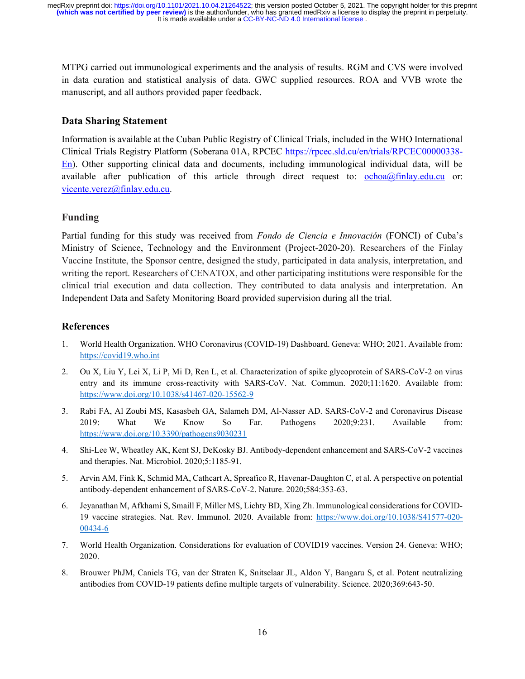MTPG carried out immunological experiments and the analysis of results. RGM and CVS were involved in data curation and statistical analysis of data. GWC supplied resources. ROA and VVB wrote the manuscript, and all authors provided paper feedback.

#### Data Sharing Statement

Information is available at the Cuban Public Registry of Clinical Trials, included in the WHO International Clinical Trials Registry Platform (Soberana 01A, RPCEC https://rpcec.sld.cu/en/trials/RPCEC00000338- En). Other supporting clinical data and documents, including immunological individual data, will be available after publication of this article through direct request to: ochoa@finlay.edu.cu or: vicente.verez@finlay.edu.cu.

### Funding

Partial funding for this study was received from Fondo de Ciencia e Innovación (FONCI) of Cuba's Ministry of Science, Technology and the Environment (Project-2020-20). Researchers of the Finlay Vaccine Institute, the Sponsor centre, designed the study, participated in data analysis, interpretation, and writing the report. Researchers of CENATOX, and other participating institutions were responsible for the clinical trial execution and data collection. They contributed to data analysis and interpretation. An Independent Data and Safety Monitoring Board provided supervision during all the trial.

#### References

- 1. World Health Organization. WHO Coronavirus (COVID-19) Dashboard. Geneva: WHO; 2021. Available from: https://covid19.who.int
- 2. Ou X, Liu Y, Lei X, Li P, Mi D, Ren L, et al. Characterization of spike glycoprotein of SARS-CoV-2 on virus entry and its immune cross-reactivity with SARS-CoV. Nat. Commun. 2020;11:1620. Available from: https://www.doi.org/10.1038/s41467-020-15562-9
- 3. Rabi FA, Al Zoubi MS, Kasasbeh GA, Salameh DM, Al-Nasser AD. SARS-CoV-2 and Coronavirus Disease 2019: What We Know So Far. Pathogens 2020;9:231. Available from: https://www.doi.org/10.3390/pathogens9030231
- 4. Shi-Lee W, Wheatley AK, Kent SJ, DeKosky BJ. Antibody-dependent enhancement and SARS-CoV-2 vaccines and therapies. Nat. Microbiol. 2020;5:1185-91.
- 5. Arvin AM, Fink K, Schmid MA, Cathcart A, Spreafico R, Havenar-Daughton C, et al. A perspective on potential antibody-dependent enhancement of SARS-CoV-2. Nature. 2020;584:353-63.
- 6. Jeyanathan M, Afkhami S, Smaill F, Miller MS, Lichty BD, Xing Zh. Immunological considerations for COVID-19 vaccine strategies. Nat. Rev. Immunol. 2020. Available from: https://www.doi.org/10.1038/S41577-020- 00434-6
- 7. World Health Organization. Considerations for evaluation of COVID19 vaccines. Version 24. Geneva: WHO; 2020.
- 8. Brouwer PhJM, Caniels TG, van der Straten K, Snitselaar JL, Aldon Y, Bangaru S, et al. Potent neutralizing antibodies from COVID-19 patients define multiple targets of vulnerability. Science. 2020;369:643-50.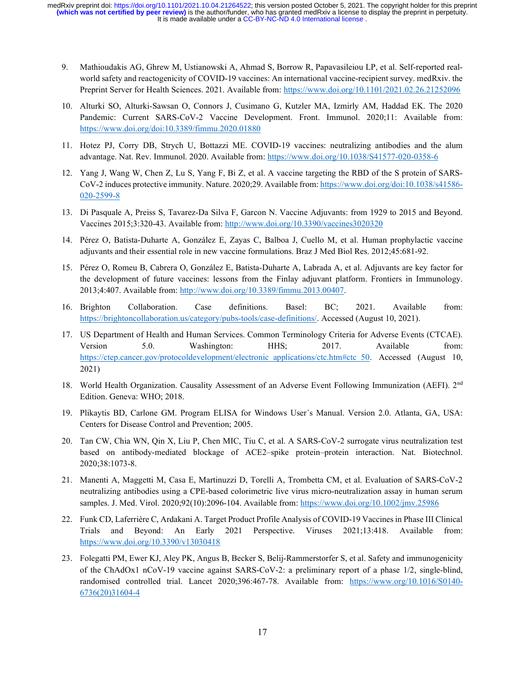- 9. Mathioudakis AG, Ghrew M, Ustianowski A, Ahmad S, Borrow R, Papavasileiou LP, et al. Self-reported realworld safety and reactogenicity of COVID-19 vaccines: An international vaccine-recipient survey. medRxiv. the Preprint Server for Health Sciences. 2021. Available from: https://www.doi.org/10.1101/2021.02.26.21252096
- 10. Alturki SO, Alturki-Sawsan O, Connors J, Cusimano G, Kutzler MA, Izmirly AM, Haddad EK. The 2020 Pandemic: Current SARS-CoV-2 Vaccine Development. Front. Immunol. 2020;11: Available from: https://www.doi.org/doi:10.3389/fimmu.2020.01880
- 11. Hotez PJ, Corry DB, Strych U, Bottazzi ME. COVID-19 vaccines: neutralizing antibodies and the alum advantage. Nat. Rev. Immunol. 2020. Available from: https://www.doi.org/10.1038/S41577-020-0358-6
- 12. Yang J, Wang W, Chen Z, Lu S, Yang F, Bi Z, et al. A vaccine targeting the RBD of the S protein of SARS-CoV-2 induces protective immunity. Nature. 2020;29. Available from: https://www.doi.org/doi:10.1038/s41586- 020-2599-8
- 13. Di Pasquale A, Preiss S, Tavarez-Da Silva F, Garcon N. Vaccine Adjuvants: from 1929 to 2015 and Beyond. Vaccines 2015;3:320-43. Available from: http://www.doi.org/10.3390/vaccines3020320
- 14. Pérez O, Batista-Duharte A, González E, Zayas C, Balboa J, Cuello M, et al. Human prophylactic vaccine adjuvants and their essential role in new vaccine formulations. Braz J Med Biol Res. 2012;45:681-92.
- 15. Pérez O, Romeu B, Cabrera O, González E, Batista-Duharte A, Labrada A, et al. Adjuvants are key factor for the development of future vaccines: lessons from the Finlay adjuvant platform. Frontiers in Immunology. 2013;4:407. Available from: http://www.doi.org/10.3389/fimmu.2013.00407.
- 16. Brighton Collaboration. Case definitions. Basel: BC; 2021. Available from: https://brightoncollaboration.us/category/pubs-tools/case-definitions/. Accessed (August 10, 2021).
- 17. US Department of Health and Human Services. Common Terminology Criteria for Adverse Events (CTCAE). Version 5.0. Washington: HHS; 2017. Available from: https://ctep.cancer.gov/protocoldevelopment/electronic\_applications/ctc.htm#ctc\_50. Accessed (August 10, 2021)
- 18. World Health Organization. Causality Assessment of an Adverse Event Following Immunization (AEFI). 2nd Edition. Geneva: WHO; 2018.
- 19. Plikaytis BD, Carlone GM. Program ELISA for Windows User´s Manual. Version 2.0. Atlanta, GA, USA: Centers for Disease Control and Prevention; 2005.
- 20. Tan CW, Chia WN, Qin X, Liu P, Chen MIC, Tiu C, et al. A SARS-CoV-2 surrogate virus neutralization test based on antibody-mediated blockage of ACE2–spike protein–protein interaction. Nat. Biotechnol. 2020;38:1073-8.
- 21. Manenti A, Maggetti M, Casa E, Martinuzzi D, Torelli A, Trombetta CM, et al. Evaluation of SARS-CoV-2 neutralizing antibodies using a CPE-based colorimetric live virus micro-neutralization assay in human serum samples. J. Med. Virol. 2020;92(10):2096-104. Available from: https://www.doi.org/10.1002/jmv.25986
- 22. Funk CD, Laferrière C, Ardakani A. Target Product Profile Analysis of COVID-19 Vaccines in Phase III Clinical Trials and Beyond: An Early 2021 Perspective. Viruses 2021;13:418. Available from: https://www.doi.org/10.3390/v13030418
- 23. Folegatti PM, Ewer KJ, Aley PK, Angus B, Becker S, Belij-Rammerstorfer S, et al. Safety and immunogenicity of the ChAdOx1 nCoV-19 vaccine against SARS-CoV-2: a preliminary report of a phase 1/2, single-blind, randomised controlled trial. Lancet 2020;396:467-78. Available from: https://www.org/10.1016/S0140- 6736(20)31604-4